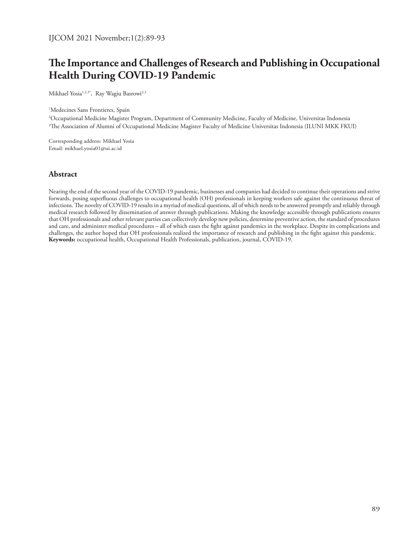# **The Importance and Challenges of Research and Publishing in Occupational Health During COVID-19 Pandemic**

Mikhael Yosia<sup>1,2,3\*</sup>, Ray Wagiu Basrowi<sup>2,3</sup>

1 Medecines Sans Frontieres, Spain

2 Occupational Medicine Magister Program, Department of Community Medicine, Faculty of Medicine, Universitas Indonesia 3 The Association of Alumni of Occupational Medicine Magister Faculty of Medicine Universitas Indonesia (ILUNI MKK FKUI)

Corresponding address: Mikhael Yosia Email: mikhael.yosia01@ui.ac.id

#### **Abstract**

Nearing the end of the second year of the COVID-19 pandemic, businesses and companies had decided to continue their operations and strive forwards, posing superfluous challenges to occupational health (OH) professionals in keeping workers safe against the continuous threat of infections. The novelty of COVID-19 results in a myriad of medical questions, all of which needs to be answered promptly and reliably through medical research followed by dissemination of answer through publications. Making the knowledge accessible through publications ensures that OH professionals and other relevant parties can collectively develop new policies, determine preventive action, the standard of procedures and care, and administer medical procedures – all of which eases the fight against pandemics in the workplace. Despite its complications and challenges, the author hoped that OH professionals realized the importance of research and publishing in the fight against this pandemic. **Keywords:** occupational health, Occupational Health Professionals, publication, journal, COVID-19.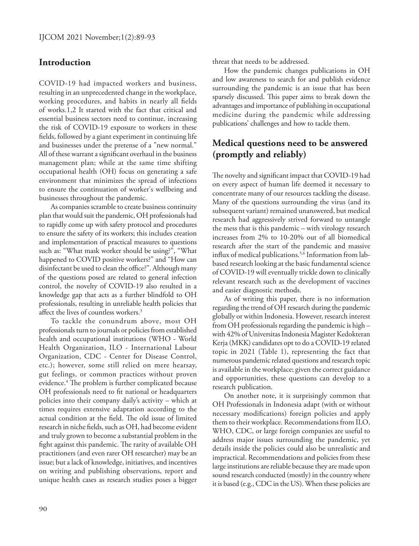### **Introduction**

COVID-19 had impacted workers and business, resulting in an unprecedented change in the workplace, working procedures, and habits in nearly all fields of works.1,2 It started with the fact that critical and essential business sectors need to continue, increasing the risk of COVID-19 exposure to workers in these fields, followed by a giant experiment in continuing life and businesses under the pretense of a "new normal." All of these warrant a significant overhaul in the business management plan; while at the same time shifting occupational health (OH) focus on generating a safe environment that minimizes the spread of infections to ensure the continuation of worker's wellbeing and businesses throughout the pandemic.

As companies scramble to create business continuity plan that would suit the pandemic, OH professionals had to rapidly come up with safety protocol and procedures to ensure the safety of its workers; this includes creation and implementation of practical measures to questions such as: "What mask worker should be using?", "What happened to COVID positive workers?" and "How can disinfectant be used to clean the office?". Although many of the questions posed are related to general infection control, the novelty of COVID-19 also resulted in a knowledge gap that acts as a further blindfold to OH professionals, resulting in unreliable health policies that affect the lives of countless workers.<sup>3</sup>

To tackle the conundrum above, most OH professionals turn to journals or policies from established health and occupational institutions (WHO - World Health Organization, ILO - International Labour Organization, CDC - Center for Disease Control, etc.); however, some still relied on mere hearsay, gut feelings, or common practices without proven evidence.4 The problem is further complicated because OH professionals need to fit national or headquarters policies into their company daily's activity – which at times requires extensive adaptation according to the actual condition at the field. The old issue of limited research in niche fields, such as OH, had become evident and truly grown to become a substantial problem in the fight against this pandemic. The rarity of available OH practitioners (and even rarer OH researcher) may be an issue; but a lack of knowledge, initiatives, and incentives on writing and publishing observations, report and unique health cases as research studies poses a bigger

threat that needs to be addressed.

How the pandemic changes publications in OH and low awareness to search for and publish evidence surrounding the pandemic is an issue that has been sparsely discussed. This paper aims to break down the advantages and importance of publishing in occupational medicine during the pandemic while addressing publications' challenges and how to tackle them.

# **Medical questions need to be answered (promptly and reliably)**

The novelty and significant impact that COVID-19 had on every aspect of human life deemed it necessary to concentrate many of our resources tackling the disease. Many of the questions surrounding the virus (and its subsequent variant) remained unanswered, but medical research had aggressively strived forward to untangle the mess that is this pandemic – with virology research increases from 2% to 10-20% out of all biomedical research after the start of the pandemic and massive influx of medical publications.5,6 Information from labbased research looking at the basic fundamental science of COVID-19 will eventually trickle down to clinically relevant research such as the development of vaccines and easier diagnostic methods.

As of writing this paper, there is no information regarding the trend of OH research during the pandemic globally or within Indonesia. However, research interest from OH professionals regarding the pandemic is high – with 42% of Universitas Indonesia Magister Kedokteran Kerja (MKK) candidates opt to do a COVID-19 related topic in 2021 (Table 1), representing the fact that numerous pandemic related questions and research topic is available in the workplace; given the correct guidance and opportunities, these questions can develop to a research publication.

On another note, it is surprisingly common that OH Professionals in Indonesia adapt (with or without necessary modifications) foreign policies and apply them to their workplace. Recommendations from ILO, WHO, CDC, or large foreign companies are useful to address major issues surrounding the pandemic, yet details inside the policies could also be unrealistic and impractical. Recommendations and policies from these large institutions are reliable because they are made upon sound research conducted (mostly) in the country where it is based (e.g., CDC in the US). When these policies are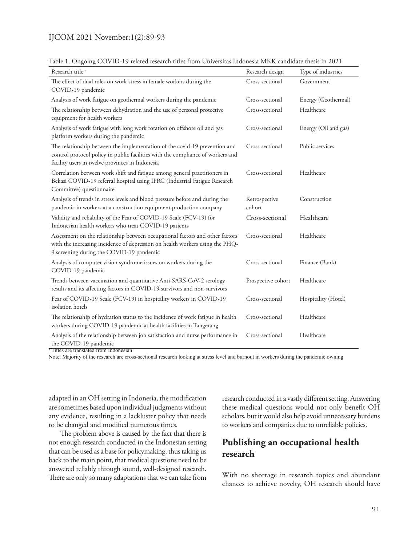#### IJCOM 2021 November;1(2):89-93

| CO TID 17 related research three from Omversion must be mixed<br>Research title <sup>a</sup>                                                                                                                     | Research design         | Type of industries   |
|------------------------------------------------------------------------------------------------------------------------------------------------------------------------------------------------------------------|-------------------------|----------------------|
| The effect of dual roles on work stress in female workers during the<br>COVID-19 pandemic                                                                                                                        | Cross-sectional         | Government           |
| Analysis of work fatigue on geothermal workers during the pandemic                                                                                                                                               | Cross-sectional         | Energy (Geothermal)  |
| The relationship between dehydration and the use of personal protective<br>equipment for health workers                                                                                                          | Cross-sectional         | Healthcare           |
| Analysis of work fatigue with long work rotation on offshore oil and gas<br>platform workers during the pandemic                                                                                                 | Cross-sectional         | Energy (Oil and gas) |
| The relationship between the implementation of the covid-19 prevention and<br>control protocol policy in public facilities with the compliance of workers and<br>facility users in twelve provinces in Indonesia | Cross-sectional         | Public services      |
| Correlation between work shift and fatigue among general practitioners in<br>Bekasi COVID-19 referral hospital using IFRC (Industrial Fatigue Research<br>Committee) questionnaire                               | Cross-sectional         | Healthcare           |
| Analysis of trends in stress levels and blood pressure before and during the<br>pandemic in workers at a construction equipment production company                                                               | Retrospective<br>cohort | Construction         |
| Validity and reliability of the Fear of COVID-19 Scale (FCV-19) for<br>Indonesian health workers who treat COVID-19 patients                                                                                     | Cross-sectional         | Healthcare           |
| Assessment on the relationship between occupational factors and other factors<br>with the increasing incidence of depression on health workers using the PHQ-<br>9 screening during the COVID-19 pandemic        | Cross-sectional         | Healthcare           |
| Analysis of computer vision syndrome issues on workers during the<br>COVID-19 pandemic                                                                                                                           | Cross-sectional         | Finance (Bank)       |
| Trends between vaccination and quantitative Anti-SARS-CoV-2 serology<br>results and its affecting factors in COVID-19 survivors and non-survivors                                                                | Prospective cohort      | Healthcare           |
| Fear of COVID-19 Scale (FCV-19) in hospitality workers in COVID-19<br>isolation hotels                                                                                                                           | Cross-sectional         | Hospitality (Hotel)  |
| The relationship of hydration status to the incidence of work fatigue in health<br>workers during COVID-19 pandemic at health facilities in Tangerang                                                            | Cross-sectional         | Healthcare           |
| Analysis of the relationship between job satisfaction and nurse performance in<br>the COVID-19 pandemic                                                                                                          | Cross-sectional         | Healthcare           |

Table 1. Ongoing COVID-19 related research titles from Universitas Indonesia MKK candidate thesis in 2021

<sup>a</sup> Titles are translated from Indonesian

Note: Majority of the research are cross-sectional research looking at stress level and burnout in workers during the pandemic owning

adapted in an OH setting in Indonesia, the modification are sometimes based upon individual judgments without any evidence, resulting in a lackluster policy that needs to be changed and modified numerous times.

The problem above is caused by the fact that there is not enough research conducted in the Indonesian setting that can be used as a base for policymaking, thus taking us back to the main point, that medical questions need to be answered reliably through sound, well-designed research. There are only so many adaptations that we can take from

research conducted in a vastly different setting. Answering these medical questions would not only benefit OH scholars, but it would also help avoid unnecessary burdens to workers and companies due to unreliable policies.

## **Publishing an occupational health research**

With no shortage in research topics and abundant chances to achieve novelty, OH research should have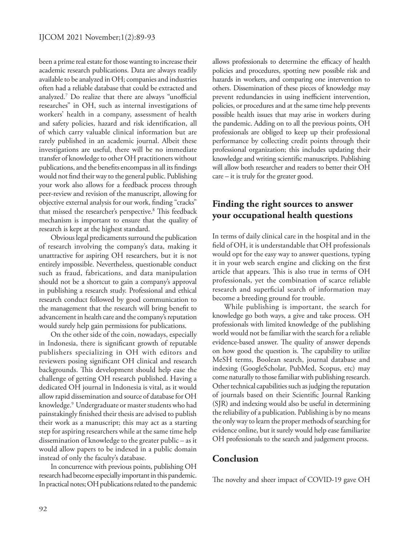been a prime real estate for those wanting to increase their academic research publications. Data are always readily available to be analyzed in OH; companies and industries often had a reliable database that could be extracted and analyzed.7 Do realize that there are always "unofficial researches" in OH, such as internal investigations of workers' health in a company, assessment of health and safety policies, hazard and risk identification, all of which carry valuable clinical information but are rarely published in an academic journal. Albeit these investigations are useful, there will be no immediate transfer of knowledge to other OH practitioners without publications, and the benefits encompass in all its findings would not find their way to the general public. Publishing your work also allows for a feedback process through peer-review and revision of the manuscript, allowing for objective external analysis for our work, finding "cracks" that missed the researcher's perspective.<sup>8</sup> This feedback mechanism is important to ensure that the quality of research is kept at the highest standard.

Obvious legal predicaments surround the publication of research involving the company's data, making it unattractive for aspiring OH researchers, but it is not entirely impossible. Nevertheless, questionable conduct such as fraud, fabrications, and data manipulation should not be a shortcut to gain a company's approval in publishing a research study. Professional and ethical research conduct followed by good communication to the management that the research will bring benefit to advancement in health care and the company's reputation would surely help gain permissions for publications.

On the other side of the coin, nowadays, especially in Indonesia, there is significant growth of reputable publishers specializing in OH with editors and reviewers posing significant OH clinical and research backgrounds. This development should help ease the challenge of getting OH research published. Having a dedicated OH journal in Indonesia is vital, as it would allow rapid dissemination and source of database for OH knowledge.9 Undergraduate or master students who had painstakingly finished their thesis are advised to publish their work as a manuscript; this may act as a starting step for aspiring researchers while at the same time help dissemination of knowledge to the greater public – as it would allow papers to be indexed in a public domain instead of only the faculty's database.

In concurrence with previous points, publishing OH research had become especially important in this pandemic. In practical notes; OH publications related to the pandemic allows professionals to determine the efficacy of health policies and procedures, spotting new possible risk and hazards in workers, and comparing one intervention to others. Dissemination of these pieces of knowledge may prevent redundancies in using inefficient intervention, policies, or procedures and at the same time help prevents possible health issues that may arise in workers during the pandemic. Adding on to all the previous points, OH professionals are obliged to keep up their professional performance by collecting credit points through their professional organization; this includes updating their knowledge and writing scientific manuscripts. Publishing will allow both researcher and readers to better their OH care – it is truly for the greater good.

# **Finding the right sources to answer your occupational health questions**

In terms of daily clinical care in the hospital and in the field of OH, it is understandable that OH professionals would opt for the easy way to answer questions, typing it in your web search engine and clicking on the first article that appears. This is also true in terms of OH professionals, yet the combination of scarce reliable research and superficial search of information may become a breeding ground for trouble.

While publishing is important, the search for knowledge go both ways, a give and take process. OH professionals with limited knowledge of the publishing world would not be familiar with the search for a reliable evidence-based answer. The quality of answer depends on how good the question is. The capability to utilize MeSH terms, Boolean search, journal database and indexing (GoogleScholar, PubMed, Scopus, etc) may come naturally to those familiar with publishing research. Other technical capabilities such as judging the reputation of journals based on their Scientific Journal Ranking (SJR) and indexing would also be useful in determining the reliability of a publication. Publishing is by no means the only way to learn the proper methods of searching for evidence online, but it surely would help ease familiarize OH professionals to the search and judgement process.

### **Conclusion**

The novelty and sheer impact of COVID-19 gave OH